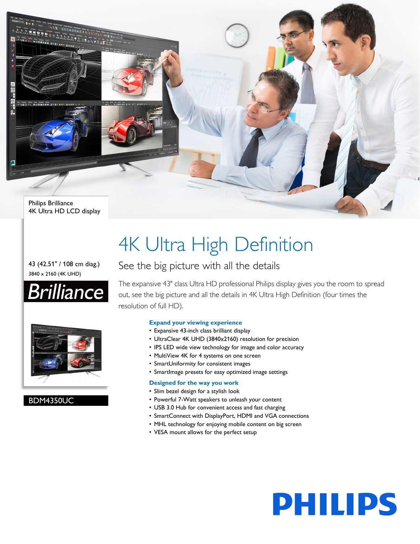

#### 43 (42.51" / 108 cm diag.) 3840 x 2160 (4K UHD)





#### BDM4350UC

# 4K Ultra High Definition

### See the big picture with all the details

The expansive 43" class Ultra HD professional Philips display gives you the room to spread out, see the big picture and all the details in 4K Ultra High Definition (four times the resolution of full HD).

#### **Expand your viewing experience**

- Expansive 43-inch class brilliant display
- UltraClear 4K UHD (3840x2160) resolution for precision
- IPS LED wide view technology for image and color accuracy
- MultiView 4K for 4 systems on one screen
- SmartUniformity for consistent images
- SmartImage presets for easy optimized image settings

#### **Designed for the way you work**

- Slim bezel design for a stylish look
- Powerful 7-Watt speakers to unleash your content
- USB 3.0 Hub for convenient access and fast charging
- SmartConnect with DisplayPort, HDMI and VGA connections
- MHL technology for enjoying mobile content on big screen
- VESA mount allows for the perfect setup

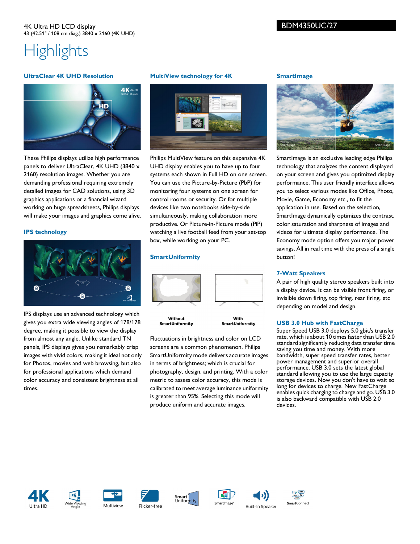#### 4K Ultra HD LCD display 43 (42.51" / 108 cm diag.) 3840 x 2160 (4K UHD)

#### BDM4350UC/27

## **Highlights**

#### **UltraClear 4K UHD Resolution**



These Philips displays utilize high performance panels to deliver UltraClear, 4K UHD (3840 x 2160) resolution images. Whether you are demanding professional requiring extremely detailed images for CAD solutions, using 3D graphics applications or a financial wizard working on huge spreadsheets, Philips displays will make your images and graphics come alive.

#### **IPS technology**



IPS displays use an advanced technology which gives you extra wide viewing angles of 178/178 degree, making it possible to view the display from almost any angle. Unlike standard TN panels, IPS displays gives you remarkably crisp images with vivid colors, making it ideal not only for Photos, movies and web browsing, but also for professional applications which demand color accuracy and consistent brightness at all times.

#### **MultiView technology for 4K**



Philips MultiView feature on this expansive 4K UHD display enables you to have up to four systems each shown in Full HD on one screen. You can use the Picture-by-Picture (PbP) for monitoring four systems on one screen for control rooms or security. Or for multiple devices like two notebooks side-by-side simultaneously, making collaboration more productive. Or Picture-in-Picture mode (PiP) watching a live football feed from your set-top box, while working on your PC.

#### **SmartUniformity**



Without SmartUniformity

With SmartUniformity

Fluctuations in brightness and color on LCD screens are a common phenomenon. Philips SmartUniformity mode delivers accurate images in terms of brightness; which is crucial for photography, design, and printing. With a color metric to assess color accuracy, this mode is calibrated to meet average luminance uniformity is greater than 95%. Selecting this mode will produce uniform and accurate images.

#### **SmartImage**



SmartImage is an exclusive leading edge Philips technology that analyzes the content displayed on your screen and gives you optimized display performance. This user friendly interface allows you to select various modes like Office, Photo, Movie, Game, Economy etc., to fit the application in use. Based on the selection, SmartImage dynamically optimizes the contrast, color saturation and sharpness of images and videos for ultimate display performance. The Economy mode option offers you major power savings. All in real time with the press of a single button!

#### **7-Watt Speakers**

A pair of high quality stereo speakers built into a display device. It can be visible front firing, or invisible down firing, top firing, rear firing, etc depending on model and design.

#### **USB 3.0 Hub with FastCharge**

Super Speed USB 3.0 deploys 5.0 gbit/s transfer rate, which is about 10 times faster than USB 2.0 standard significantly reducing data transfer time saving you time and money. With more bandwidth, super speed transfer rates, better power management and superior overall performance, USB 3.0 sets the latest global standard allowing you to use the large capacity storage devices. Now you don't have to wait so long for devices to charge. New FastCharge enables quick charging to charge and go. USB 3.0 is also backward compatible with USB 2.0 devices.